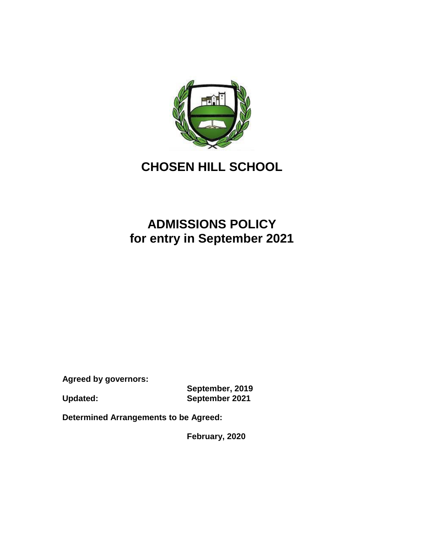

## **CHOSEN HILL SCHOOL**

## **ADMISSIONS POLICY for entry in September 2021**

**Agreed by governors:** 

**September, 2019 Updated: September 2021**

**Determined Arrangements to be Agreed:**

**February, 2020**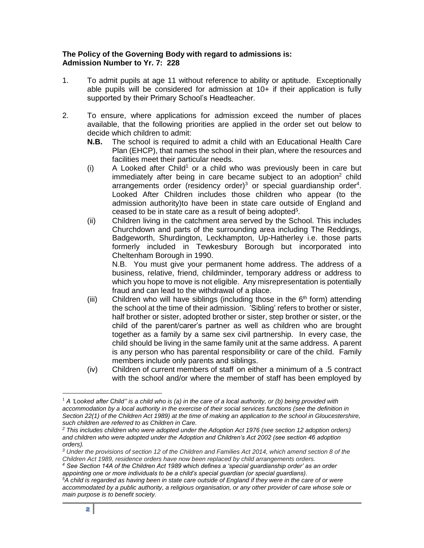## **The Policy of the Governing Body with regard to admissions is: Admission Number to Yr. 7: 228**

- 1. To admit pupils at age 11 without reference to ability or aptitude. Exceptionally able pupils will be considered for admission at  $10+$  if their application is fully supported by their Primary School's Headteacher.
- 2. To ensure, where applications for admission exceed the number of places available, that the following priorities are applied in the order set out below to decide which children to admit:
	- **N.B.** The school is required to admit a child with an Educational Health Care Plan (EHCP), that names the school in their plan, where the resources and facilities meet their particular needs.
	- $(i)$  A Looked after Child<sup>1</sup> or a child who was previously been in care but immediately after being in care became subject to an adoption<sup>2</sup> child arrangements order (residency order)<sup>3</sup> or special guardianship order<sup>4</sup>. Looked After Children includes those children who appear (to the admission authority)to have been in state care outside of England and ceased to be in state care as a result of being adopted**<sup>5</sup>** .
	- (ii) Children living in the catchment area served by the School. This includes Churchdown and parts of the surrounding area including The Reddings, Badgeworth, Shurdington, Leckhampton, Up-Hatherley i.e. those parts formerly included in Tewkesbury Borough but incorporated into Cheltenham Borough in 1990.

N.B. You must give your permanent home address. The address of a business, relative, friend, childminder, temporary address or address to which you hope to move is not eligible. Any misrepresentation is potentially fraud and can lead to the withdrawal of a place.

- (iii) Children who will have siblings (including those in the  $6<sup>th</sup>$  form) attending the school at the time of their admission. 'Sibling' refers to brother or sister, half brother or sister, adopted brother or sister, step brother or sister, or the child of the parent/carer's partner as well as children who are brought together as a family by a same sex civil partnership. In every case, the child should be living in the same family unit at the same address. A parent is any person who has parental responsibility or care of the child. Family members include only parents and siblings.
- (iv) Children of current members of staff on either a minimum of a .5 contract with the school and/or where the member of staff has been employed by

 $\overline{a}$ 

<sup>1</sup> *A 'Looked after Child'' is a child who is (a) in the care of a local authority, or (b) being provided with accommodation by a local authority in the exercise of their social services functions (see the definition in Section 22(1) of the Children Act 1989) at the time of making an application to the school in Gloucestershire, such children are referred to as Children in Care.*

*<sup>2</sup> This includes children who were adopted under the Adoption Act 1976 (see section 12 adoption orders) and children who were adopted under the Adoption and Children's Act 2002 (see section 46 adoption orders).*

*<sup>3</sup> Under the provisions of section 12 of the Children and Families Act 2014, which amend section 8 of the Children Act 1989, residence orders have now been replaced by child arrangements orders.*

*<sup>4</sup> See Section 14A of the Children Act 1989 which defines a 'special guardianship order' as an order appointing one or more individuals to be a child's special guardian (or special guardians).*

*<sup>5</sup>A child is regarded as having been in state care outside of England if they were in the care of or were accommodated by a public authority, a religious organisation, or any other provider of care whose sole or main purpose is to benefit society.*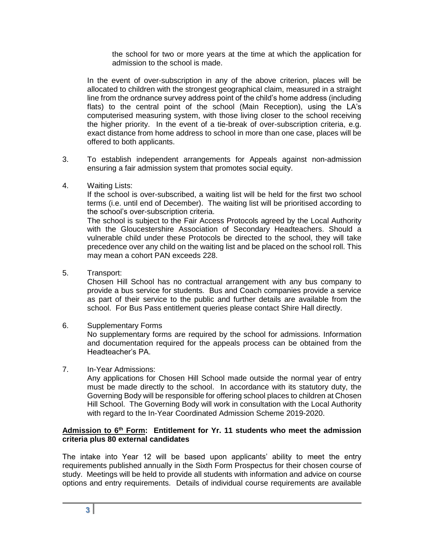the school for two or more years at the time at which the application for admission to the school is made.

In the event of over-subscription in any of the above criterion, places will be allocated to children with the strongest geographical claim, measured in a straight line from the ordnance survey address point of the child's home address (including flats) to the central point of the school (Main Reception), using the LA's computerised measuring system, with those living closer to the school receiving the higher priority. In the event of a tie-break of over-subscription criteria, e.g. exact distance from home address to school in more than one case, places will be offered to both applicants.

- 3. To establish independent arrangements for Appeals against non-admission ensuring a fair admission system that promotes social equity.
- 4. Waiting Lists:

If the school is over-subscribed, a waiting list will be held for the first two school terms (i.e. until end of December). The waiting list will be prioritised according to the school's over-subscription criteria.

The school is subject to the Fair Access Protocols agreed by the Local Authority with the Gloucestershire Association of Secondary Headteachers. Should a vulnerable child under these Protocols be directed to the school, they will take precedence over any child on the waiting list and be placed on the school roll. This may mean a cohort PAN exceeds 228.

5. Transport:

Chosen Hill School has no contractual arrangement with any bus company to provide a bus service for students. Bus and Coach companies provide a service as part of their service to the public and further details are available from the school. For Bus Pass entitlement queries please contact Shire Hall directly.

6. Supplementary Forms

No supplementary forms are required by the school for admissions. Information and documentation required for the appeals process can be obtained from the Headteacher's PA.

7. In-Year Admissions:

Any applications for Chosen Hill School made outside the normal year of entry must be made directly to the school. In accordance with its statutory duty, the Governing Body will be responsible for offering school places to children at Chosen Hill School. The Governing Body will work in consultation with the Local Authority with regard to the In-Year Coordinated Admission Scheme 2019-2020.

## **Admission to 6 th Form: Entitlement for Yr. 11 students who meet the admission criteria plus 80 external candidates**

The intake into Year 12 will be based upon applicants' ability to meet the entry requirements published annually in the Sixth Form Prospectus for their chosen course of study. Meetings will be held to provide all students with information and advice on course options and entry requirements. Details of individual course requirements are available